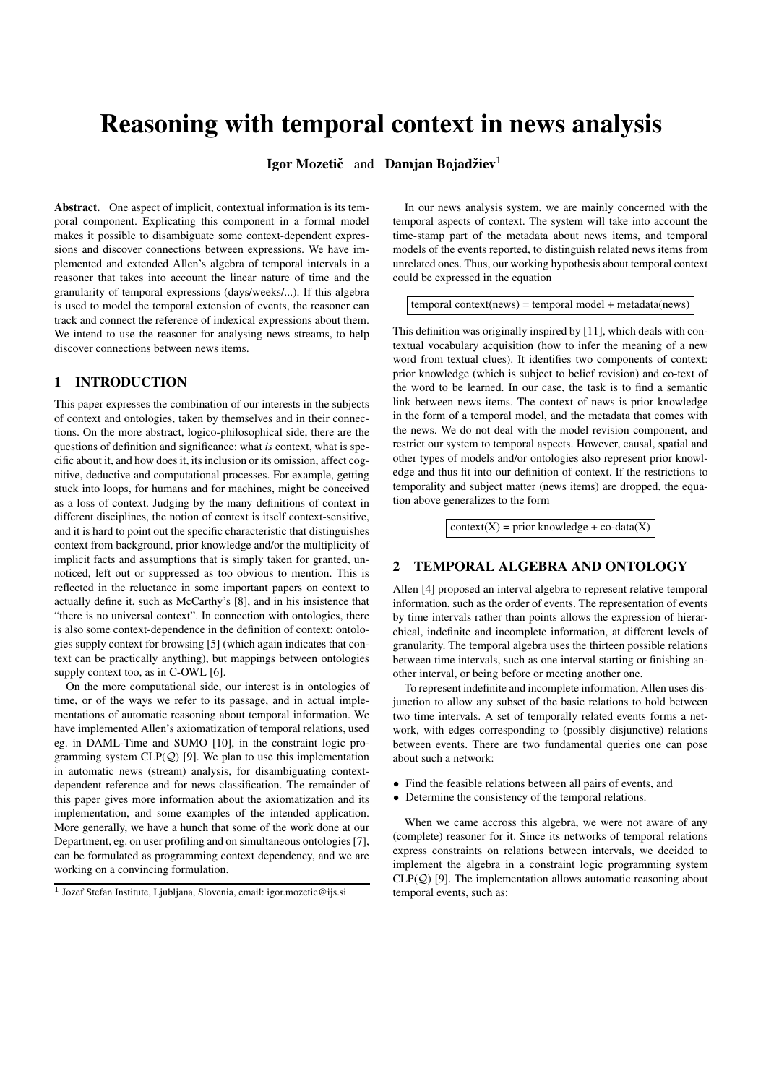# **Reasoning with temporal context in news analysis**

**Igor Mozeticˇ** and **Damjan Bojadzie ˇ v** 1

**Abstract.** One aspect of implicit, contextual information is its temporal component. Explicating this component in a formal model makes it possible to disambiguate some context-dependent expressions and discover connections between expressions. We have implemented and extended Allen's algebra of temporal intervals in a reasoner that takes into account the linear nature of time and the granularity of temporal expressions (days/weeks/...). If this algebra is used to model the temporal extension of events, the reasoner can track and connect the reference of indexical expressions about them. We intend to use the reasoner for analysing news streams, to help discover connections between news items.

#### **1 INTRODUCTION**

This paper expresses the combination of our interests in the subjects of context and ontologies, taken by themselves and in their connections. On the more abstract, logico-philosophical side, there are the questions of definition and significance: what *is* context, what is specific about it, and how does it, its inclusion or its omission, affect cognitive, deductive and computational processes. For example, getting stuck into loops, for humans and for machines, might be conceived as a loss of context. Judging by the many definitions of context in different disciplines, the notion of context is itself context-sensitive, and it is hard to point out the specific characteristic that distinguishes context from background, prior knowledge and/or the multiplicity of implicit facts and assumptions that is simply taken for granted, unnoticed, left out or suppressed as too obvious to mention. This is reflected in the reluctance in some important papers on context to actually define it, such as McCarthy's [8], and in his insistence that "there is no universal context". In connection with ontologies, there is also some context-dependence in the definition of context: ontologies supply context for browsing [5] (which again indicates that context can be practically anything), but mappings between ontologies supply context too, as in C-OWL [6].

On the more computational side, our interest is in ontologies of time, or of the ways we refer to its passage, and in actual implementations of automatic reasoning about temporal information. We have implemented Allen's axiomatization of temporal relations, used eg. in DAML-Time and SUMO [10], in the constraint logic programming system  $CLP(Q)$  [9]. We plan to use this implementation in automatic news (stream) analysis, for disambiguating contextdependent reference and for news classification. The remainder of this paper gives more information about the axiomatization and its implementation, and some examples of the intended application. More generally, we have a hunch that some of the work done at our Department, eg. on user profiling and on simultaneous ontologies [7], can be formulated as programming context dependency, and we are working on a convincing formulation.

In our news analysis system, we are mainly concerned with the temporal aspects of context. The system will take into account the time-stamp part of the metadata about news items, and temporal models of the events reported, to distinguish related news items from unrelated ones. Thus, our working hypothesis about temporal context could be expressed in the equation

 $temporal context(news) = temporal model + metadata(news)$ 

This definition was originally inspired by [11], which deals with contextual vocabulary acquisition (how to infer the meaning of a new word from textual clues). It identifies two components of context: prior knowledge (which is subject to belief revision) and co-text of the word to be learned. In our case, the task is to find a semantic link between news items. The context of news is prior knowledge in the form of a temporal model, and the metadata that comes with the news. We do not deal with the model revision component, and restrict our system to temporal aspects. However, causal, spatial and other types of models and/or ontologies also represent prior knowledge and thus fit into our definition of context. If the restrictions to temporality and subject matter (news items) are dropped, the equation above generalizes to the form

 $context(X) = prior knowledge + co-data(X)$ 

### **2 TEMPORAL ALGEBRA AND ONTOLOGY**

Allen [4] proposed an interval algebra to represent relative temporal information, such as the order of events. The representation of events by time intervals rather than points allows the expression of hierarchical, indefinite and incomplete information, at different levels of granularity. The temporal algebra uses the thirteen possible relations between time intervals, such as one interval starting or finishing another interval, or being before or meeting another one.

To represent indefinite and incomplete information, Allen uses disjunction to allow any subset of the basic relations to hold between two time intervals. A set of temporally related events forms a network, with edges corresponding to (possibly disjunctive) relations between events. There are two fundamental queries one can pose about such a network:

- Find the feasible relations between all pairs of events, and
- Determine the consistency of the temporal relations.

When we came accross this algebra, we were not aware of any (complete) reasoner for it. Since its networks of temporal relations express constraints on relations between intervals, we decided to implement the algebra in a constraint logic programming system  $CLP(Q)$  [9]. The implementation allows automatic reasoning about temporal events, such as:

<sup>&</sup>lt;sup>1</sup> Jozef Stefan Institute, Ljubljana, Slovenia, email: igor.mozetic@ijs.si